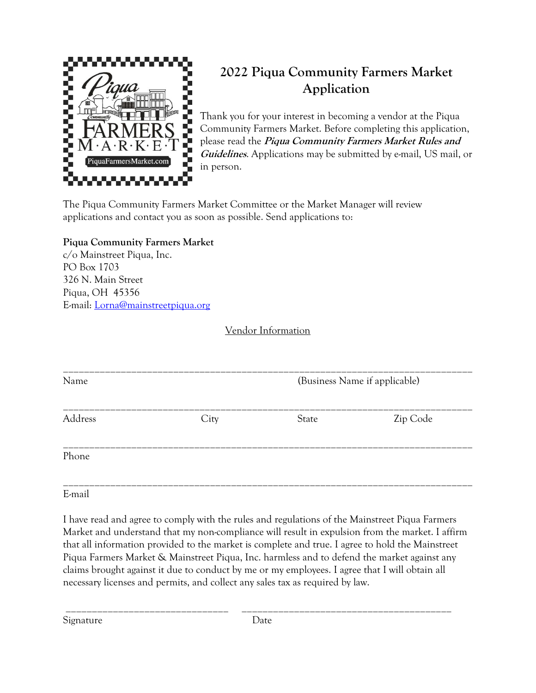

## **2022 Piqua Community Farmers Market Application**

Thank you for your interest in becoming a vendor at the Piqua Community Farmers Market. Before completing this application, please read the **Piqua Community Farmers Market Rules and Guidelines**. Applications may be submitted by e-mail, US mail, or in person.

The Piqua Community Farmers Market Committee or the Market Manager will review applications and contact you as soon as possible. Send applications to:

### **Piqua Community Farmers Market**

c/o Mainstreet Piqua, Inc. PO Box 1703 326 N. Main Street Piqua, OH 45356 E-mail: [Lorna@mainstreetpiqua.org](mailto:Lorna@mainstreetpiqua.org)

### Vendor Information

| Name    |      | (Business Name if applicable) |          |
|---------|------|-------------------------------|----------|
| Address | City | State                         | Zip Code |
| Phone   |      |                               |          |

E-mail

I have read and agree to comply with the rules and regulations of the Mainstreet Piqua Farmers Market and understand that my non-compliance will result in expulsion from the market. I affirm that all information provided to the market is complete and true. I agree to hold the Mainstreet Piqua Farmers Market & Mainstreet Piqua, Inc. harmless and to defend the market against any claims brought against it due to conduct by me or my employees. I agree that I will obtain all necessary licenses and permits, and collect any sales tax as required by law.

Signature Date